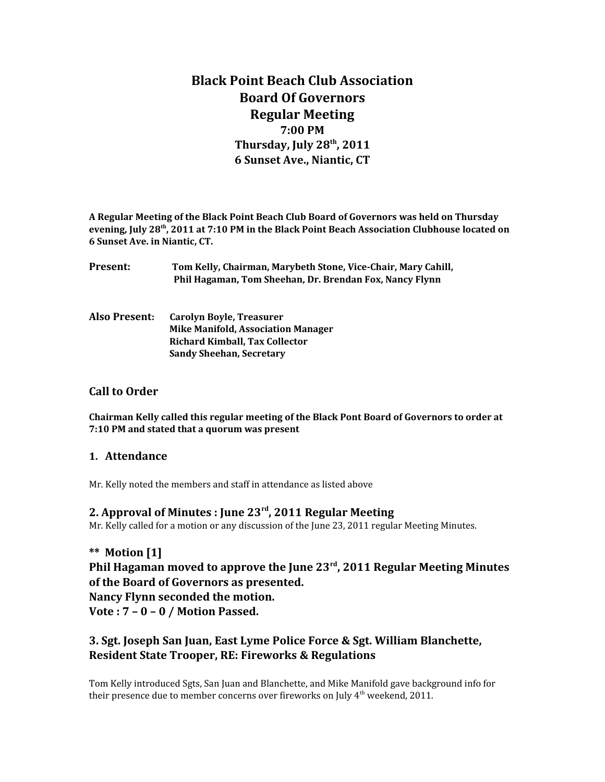# **Black Point Beach Club Association Board Of Governors Regular Meeting 7:00 PM Thursday, July 28th, 2011 6 Sunset Ave., Niantic, CT**

**A Regular Meeting of the Black Point Beach Club Board of Governors was held on Thursday evening, July 28th, 2011 at 7:10 PM in the Black Point Beach Association Clubhouse located on 6 Sunset Ave. in Niantic, CT.**

| Present: | Tom Kelly, Chairman, Marybeth Stone, Vice-Chair, Mary Cahill, |
|----------|---------------------------------------------------------------|
|          | Phil Hagaman, Tom Sheehan, Dr. Brendan Fox, Nancy Flynn       |

**Also Present: Carolyn Boyle, Treasurer Mike Manifold, Association Manager Richard Kimball, Tax Collector Sandy Sheehan, Secretary**

## **Call to Order**

**Chairman Kelly called this regular meeting of the Black Pont Board of Governors to order at 7:10 PM and stated that a quorum was present**

### **1. Attendance**

Mr. Kelly noted the members and staff in attendance as listed above

### **2. Approval of Minutes : June 23rd, 2011 Regular Meeting**

Mr. Kelly called for a motion or any discussion of the June 23, 2011 regular Meeting Minutes.

**\*\* Motion [1] Phil Hagaman moved to approve the June 23rd, 2011 Regular Meeting Minutes of the Board of Governors as presented. Nancy Flynn seconded the motion. Vote : 7 – 0 – 0 / Motion Passed.**

## **3. Sgt. Joseph San Juan, East Lyme Police Force & Sgt. William Blanchette, Resident State Trooper, RE: Fireworks & Regulations**

Tom Kelly introduced Sgts, San Juan and Blanchette, and Mike Manifold gave background info for their presence due to member concerns over fireworks on July  $4<sup>th</sup>$  weekend, 2011.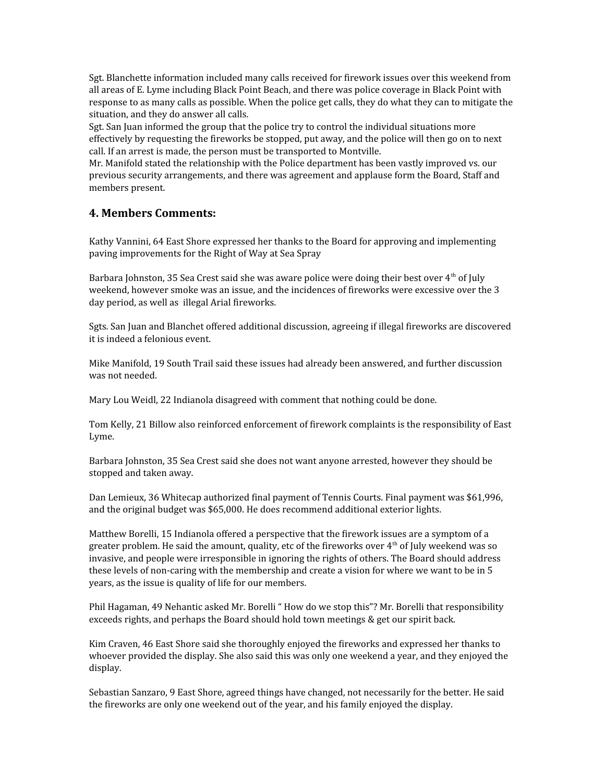Sgt. Blanchette information included many calls received for firework issues over this weekend from all areas of E. Lyme including Black Point Beach, and there was police coverage in Black Point with response to as many calls as possible. When the police get calls, they do what they can to mitigate the situation, and they do answer all calls.

Sgt. San Juan informed the group that the police try to control the individual situations more effectively by requesting the fireworks be stopped, put away, and the police will then go on to next call. If an arrest is made, the person must be transported to Montville.

Mr. Manifold stated the relationship with the Police department has been vastly improved vs. our previous security arrangements, and there was agreement and applause form the Board, Staff and members present.

### **4. Members Comments:**

Kathy Vannini, 64 East Shore expressed her thanks to the Board for approving and implementing paving improvements for the Right of Way at Sea Spray

Barbara Johnston, 35 Sea Crest said she was aware police were doing their best over 4<sup>th</sup> of July weekend, however smoke was an issue, and the incidences of fireworks were excessive over the 3 day period, as well as illegal Arial fireworks.

Sgts. San Juan and Blanchet offered additional discussion, agreeing if illegal fireworks are discovered it is indeed a felonious event.

Mike Manifold, 19 South Trail said these issues had already been answered, and further discussion was not needed.

Mary Lou Weidl, 22 Indianola disagreed with comment that nothing could be done.

Tom Kelly, 21 Billow also reinforced enforcement of firework complaints is the responsibility of East Lyme.

Barbara Johnston, 35 Sea Crest said she does not want anyone arrested, however they should be stopped and taken away.

Dan Lemieux, 36 Whitecap authorized final payment of Tennis Courts. Final payment was \$61,996, and the original budget was \$65,000. He does recommend additional exterior lights.

Matthew Borelli, 15 Indianola offered a perspective that the firework issues are a symptom of a greater problem. He said the amount, quality, etc of the fireworks over  $4<sup>th</sup>$  of July weekend was so invasive, and people were irresponsible in ignoring the rights of others. The Board should address these levels of non-caring with the membership and create a vision for where we want to be in 5 years, as the issue is quality of life for our members.

Phil Hagaman, 49 Nehantic asked Mr. Borelli " How do we stop this"? Mr. Borelli that responsibility exceeds rights, and perhaps the Board should hold town meetings & get our spirit back.

Kim Craven, 46 East Shore said she thoroughly enjoyed the fireworks and expressed her thanks to whoever provided the display. She also said this was only one weekend a year, and they enjoyed the display.

Sebastian Sanzaro, 9 East Shore, agreed things have changed, not necessarily for the better. He said the fireworks are only one weekend out of the year, and his family enjoyed the display.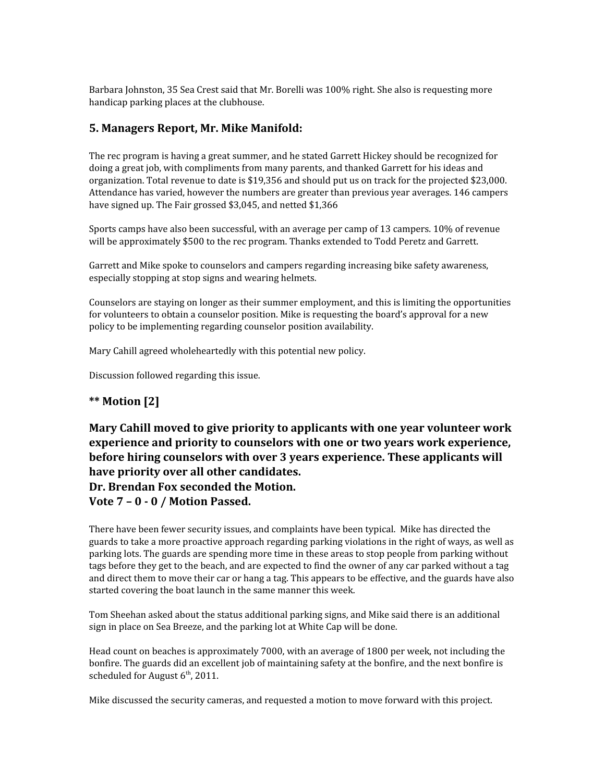Barbara Johnston, 35 Sea Crest said that Mr. Borelli was 100% right. She also is requesting more handicap parking places at the clubhouse.

### **5. Managers Report, Mr. Mike Manifold:**

The rec program is having a great summer, and he stated Garrett Hickey should be recognized for doing a great job, with compliments from many parents, and thanked Garrett for his ideas and organization. Total revenue to date is \$19,356 and should put us on track for the projected \$23,000. Attendance has varied, however the numbers are greater than previous year averages. 146 campers have signed up. The Fair grossed \$3,045, and netted \$1,366

Sports camps have also been successful, with an average per camp of 13 campers. 10% of revenue will be approximately \$500 to the rec program. Thanks extended to Todd Peretz and Garrett.

Garrett and Mike spoke to counselors and campers regarding increasing bike safety awareness, especially stopping at stop signs and wearing helmets.

Counselors are staying on longer as their summer employment, and this is limiting the opportunities for volunteers to obtain a counselor position. Mike is requesting the board's approval for a new policy to be implementing regarding counselor position availability.

Mary Cahill agreed wholeheartedly with this potential new policy.

Discussion followed regarding this issue.

## **\*\* Motion [2]**

**Mary Cahill moved to give priority to applicants with one year volunteer work experience and priority to counselors with one or two years work experience, before hiring counselors with over 3 years experience. These applicants will have priority over all other candidates. Dr. Brendan Fox seconded the Motion. Vote 7 – 0 - 0 / Motion Passed.**

There have been fewer security issues, and complaints have been typical. Mike has directed the guards to take a more proactive approach regarding parking violations in the right of ways, as well as parking lots. The guards are spending more time in these areas to stop people from parking without tags before they get to the beach, and are expected to find the owner of any car parked without a tag and direct them to move their car or hang a tag. This appears to be effective, and the guards have also started covering the boat launch in the same manner this week.

Tom Sheehan asked about the status additional parking signs, and Mike said there is an additional sign in place on Sea Breeze, and the parking lot at White Cap will be done.

Head count on beaches is approximately 7000, with an average of 1800 per week, not including the bonfire. The guards did an excellent job of maintaining safety at the bonfire, and the next bonfire is scheduled for August  $6<sup>th</sup>$ , 2011.

Mike discussed the security cameras, and requested a motion to move forward with this project.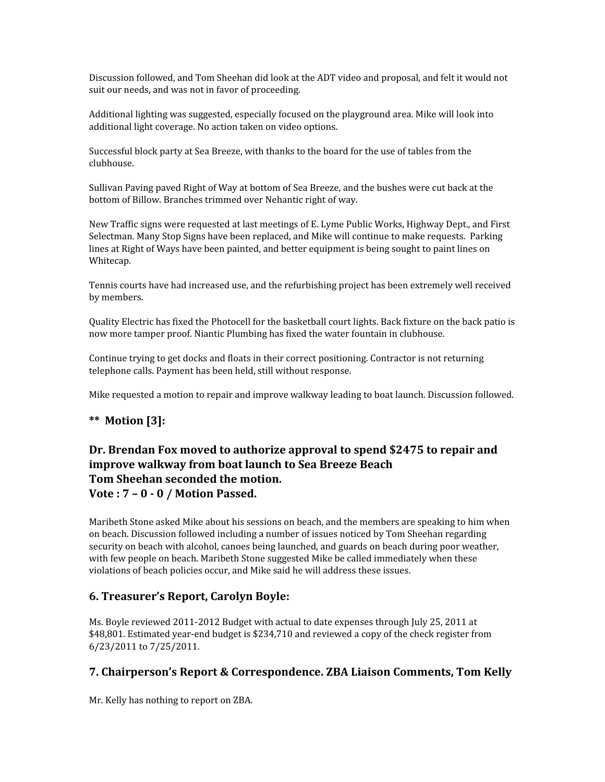Discussion followed, and Tom Sheehan did look at the ADT video and proposal, and felt it would not suit our needs, and was not in favor of proceeding.

Additional lighting was suggested, especially focused on the playground area. Mike will look into additional light coverage. No action taken on video options.

Successful block party at Sea Breeze, with thanks to the board for the use of tables from the clubhouse.

Sullivan Paving paved Right of Way at bottom of Sea Breeze, and the bushes were cut back at the bottom of Billow. Branches trimmed over Nehantic right of way.

New Traffic signs were requested at last meetings of E. Lyme Public Works, Highway Dept., and First Selectman. Many Stop Signs have been replaced, and Mike will continue to make requests. Parking lines at Right of Ways have been painted, and better equipment is being sought to paint lines on Whitecap.

Tennis courts have had increased use, and the refurbishing project has been extremely well received by members.

Quality Electric has fixed the Photocell for the basketball court lights. Back fixture on the back patio is now more tamper proof. Niantic Plumbing has fixed the water fountain in clubhouse.

Continue trying to get docks and floats in their correct positioning. Contractor is not returning telephone calls. Payment has been held, still without response.

Mike requested a motion to repair and improve walkway leading to boat launch. Discussion followed.

## **\*\* Motion [3]:**

## **Dr. Brendan Fox moved to authorize approval to spend \$2475 to repair and improve walkway from boat launch to Sea Breeze Beach Tom Sheehan seconded the motion. Vote : 7 – 0 - 0 / Motion Passed.**

Maribeth Stone asked Mike about his sessions on beach, and the members are speaking to him when on beach. Discussion followed including a number of issues noticed by Tom Sheehan regarding security on beach with alcohol, canoes being launched, and guards on beach during poor weather, with few people on beach. Maribeth Stone suggested Mike be called immediately when these violations of beach policies occur, and Mike said he will address these issues.

## **6. Treasurer's Report, Carolyn Boyle:**

Ms. Boyle reviewed 2011-2012 Budget with actual to date expenses through July 25, 2011 at \$48,801. Estimated year-end budget is \$234,710 and reviewed a copy of the check register from 6/23/2011 to 7/25/2011.

## **7. Chairperson's Report & Correspondence. ZBA Liaison Comments, Tom Kelly**

Mr. Kelly has nothing to report on ZBA.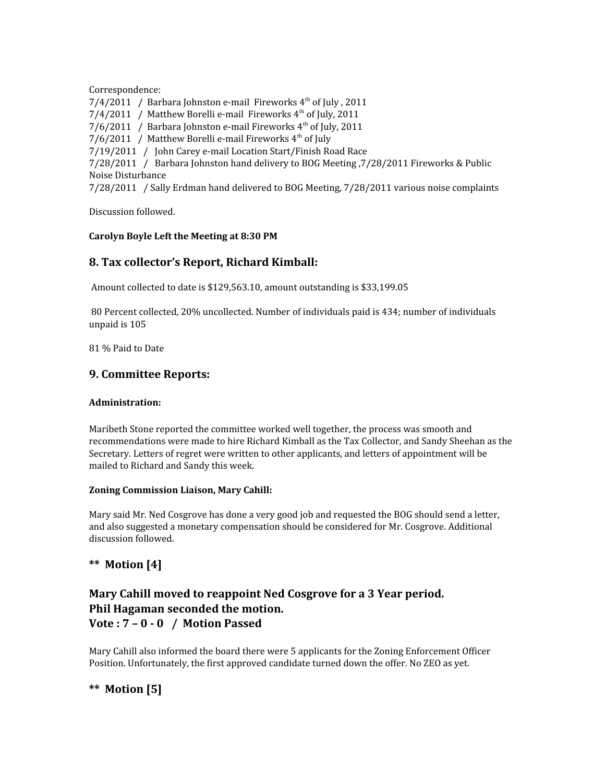Correspondence:

 $7/4/2011$  / Barbara Johnston e-mail Fireworks  $4<sup>th</sup>$  of July, 2011

 $7/4/2011$  / Matthew Borelli e-mail Fireworks  $4<sup>th</sup>$  of July, 2011

 $7/6/2011$  / Barbara Johnston e-mail Fireworks  $4<sup>th</sup>$  of July, 2011

7/6/2011 / Matthew Borelli e-mail Fireworks  $4<sup>th</sup>$  of July

7/19/2011 / John Carey e-mail Location Start/Finish Road Race

7/28/2011 / Barbara Johnston hand delivery to BOG Meeting ,7/28/2011 Fireworks & Public Noise Disturbance

7/28/2011 / Sally Erdman hand delivered to BOG Meeting, 7/28/2011 various noise complaints

Discussion followed.

#### **Carolyn Boyle Left the Meeting at 8:30 PM**

## **8. Tax collector's Report, Richard Kimball:**

Amount collected to date is \$129,563.10, amount outstanding is \$33,199.05

 80 Percent collected, 20% uncollected. Number of individuals paid is 434; number of individuals unpaid is 105

81 % Paid to Date

### **9. Committee Reports:**

#### **Administration:**

Maribeth Stone reported the committee worked well together, the process was smooth and recommendations were made to hire Richard Kimball as the Tax Collector, and Sandy Sheehan as the Secretary. Letters of regret were written to other applicants, and letters of appointment will be mailed to Richard and Sandy this week.

#### **Zoning Commission Liaison, Mary Cahill:**

Mary said Mr. Ned Cosgrove has done a very good job and requested the BOG should send a letter, and also suggested a monetary compensation should be considered for Mr. Cosgrove. Additional discussion followed.

## **\*\* Motion [4]**

## **Mary Cahill moved to reappoint Ned Cosgrove for a 3 Year period. Phil Hagaman seconded the motion. Vote : 7 – 0 - 0 / Motion Passed**

Mary Cahill also informed the board there were 5 applicants for the Zoning Enforcement Officer Position. Unfortunately, the first approved candidate turned down the offer. No ZEO as yet.

## **\*\* Motion [5]**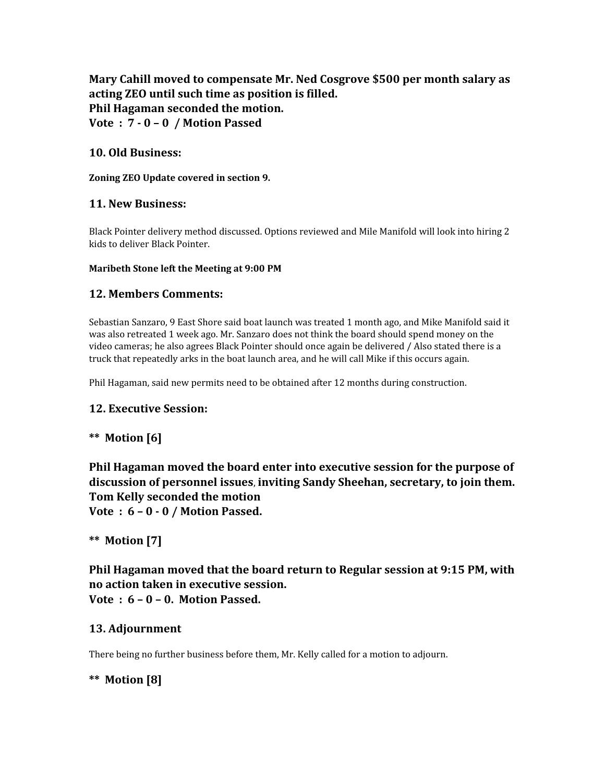## **Mary Cahill moved to compensate Mr. Ned Cosgrove \$500 per month salary as acting ZEO until such time as position is filled. Phil Hagaman seconded the motion. Vote : 7 - 0 – 0 / Motion Passed**

## **10. Old Business:**

**Zoning ZEO Update covered in section 9.**

## **11. New Business:**

Black Pointer delivery method discussed. Options reviewed and Mile Manifold will look into hiring 2 kids to deliver Black Pointer.

### **Maribeth Stone left the Meeting at 9:00 PM**

## **12. Members Comments:**

Sebastian Sanzaro, 9 East Shore said boat launch was treated 1 month ago, and Mike Manifold said it was also retreated 1 week ago. Mr. Sanzaro does not think the board should spend money on the video cameras; he also agrees Black Pointer should once again be delivered / Also stated there is a truck that repeatedly arks in the boat launch area, and he will call Mike if this occurs again.

Phil Hagaman, said new permits need to be obtained after 12 months during construction.

## **12. Executive Session:**

## **\*\* Motion [6]**

**Phil Hagaman moved the board enter into executive session for the purpose of discussion of personnel issues**, **inviting Sandy Sheehan, secretary, to join them. Tom Kelly seconded the motion**

**Vote : 6 – 0 - 0 / Motion Passed.**

## **\*\* Motion [7]**

**Phil Hagaman moved that the board return to Regular session at 9:15 PM, with no action taken in executive session. Vote : 6 – 0 – 0. Motion Passed.**

## **13. Adjournment**

There being no further business before them, Mr. Kelly called for a motion to adjourn.

## **\*\* Motion [8]**